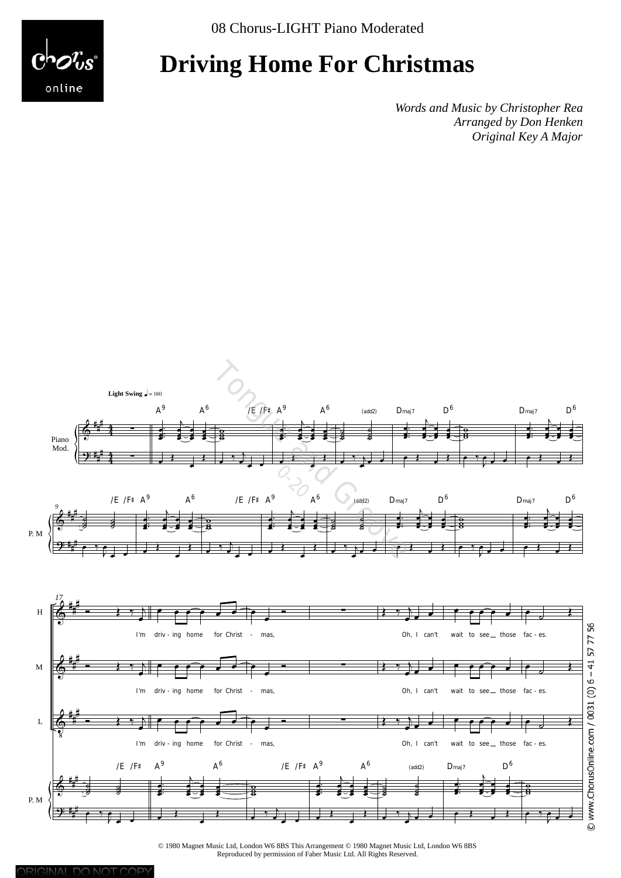online

# **Driving Home For Christmas**

*Words and Music by Christopher Rea Arranged by Don Henken Original Key A Major*



© 1980 Magnet Music Ltd, London W6 8BS This Arrangement © 1980 Magnet Music Ltd, London W6 8BS Reproduced by permission of Faber Music Ltd. All Rights Reserved.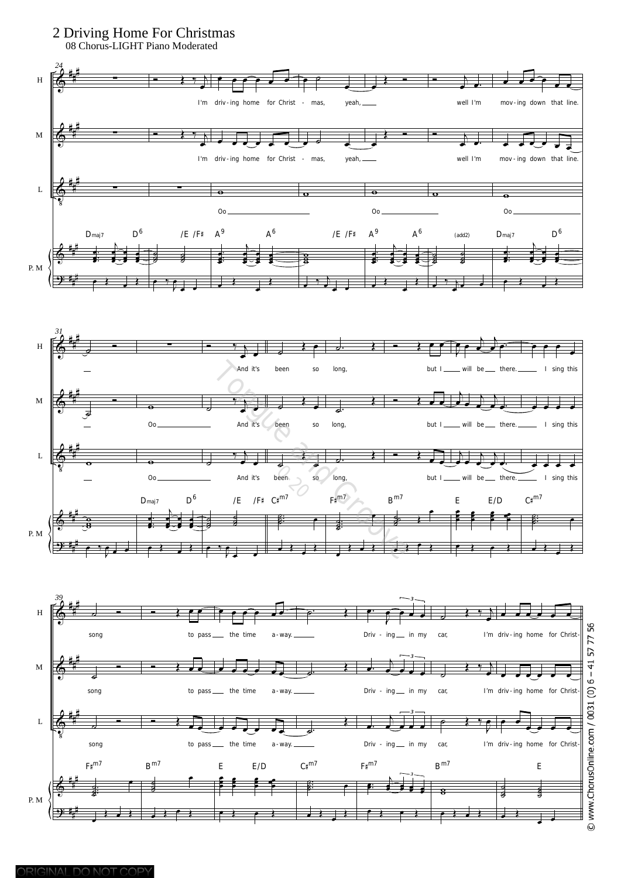## 2 Driving Home For Christmas

08 Chorus-LIGHT Piano Moderated

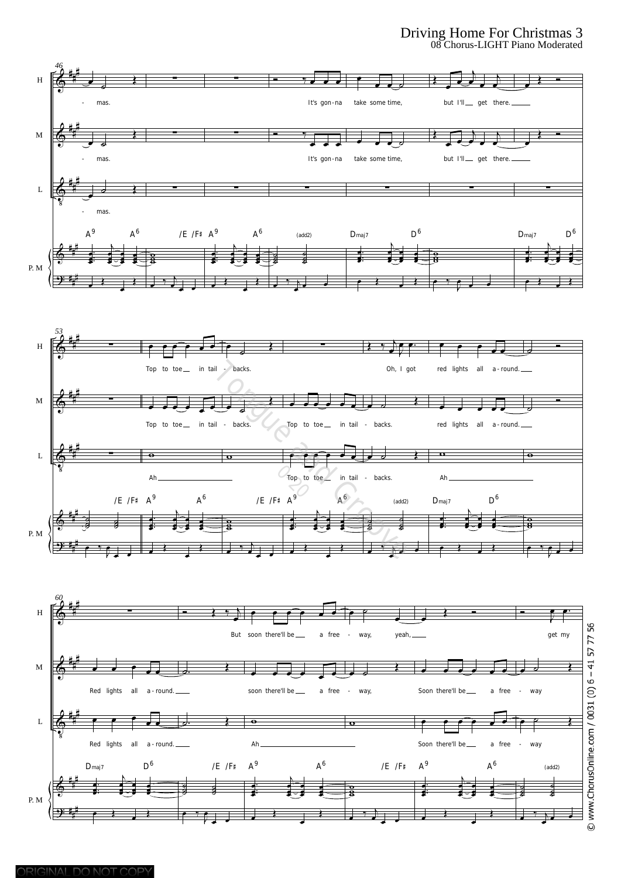#### Driving Home For Christmas 3 08 Chorus-LIGHT Piano Moderated

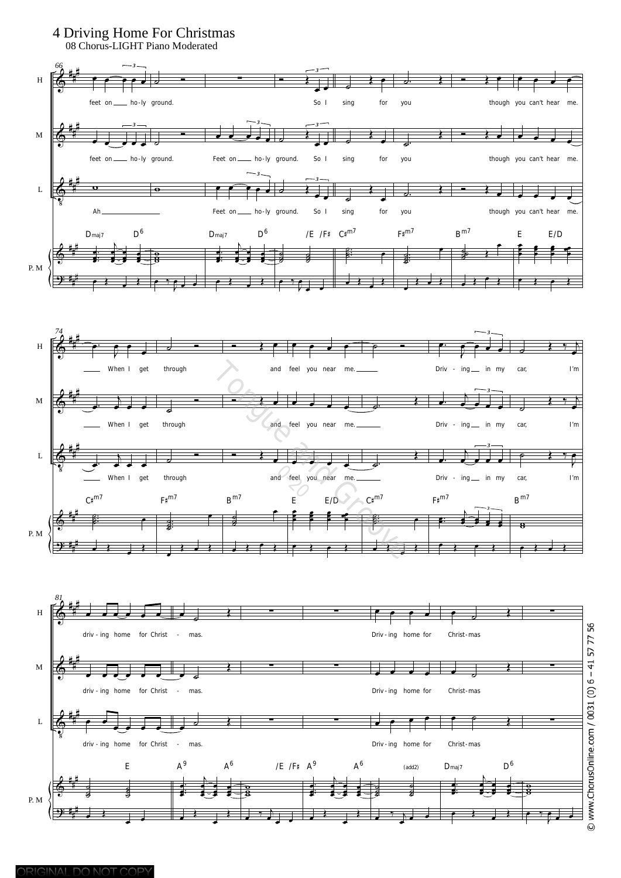

ORIGINAL DO NOT COPY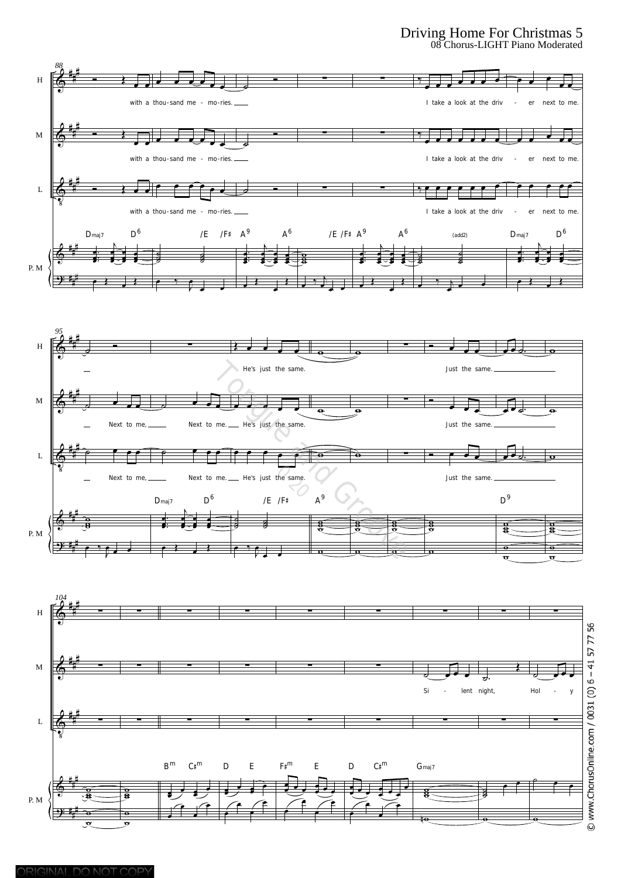### Driving Home For Christmas 5 08 Chorus-LIGHT Piano Moderated

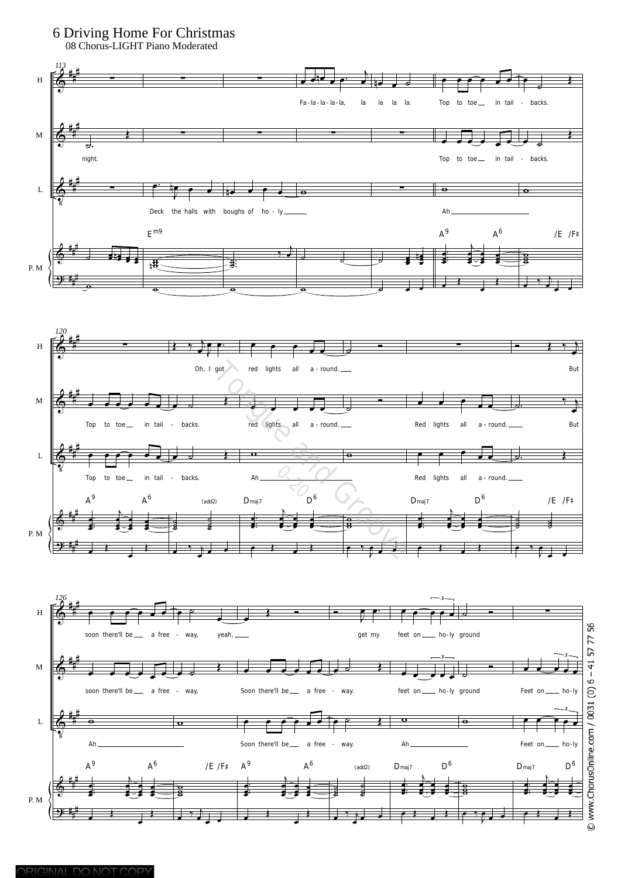## 6 Driving Home For Christmas

08 Chorus-LIGHT Piano Moderated

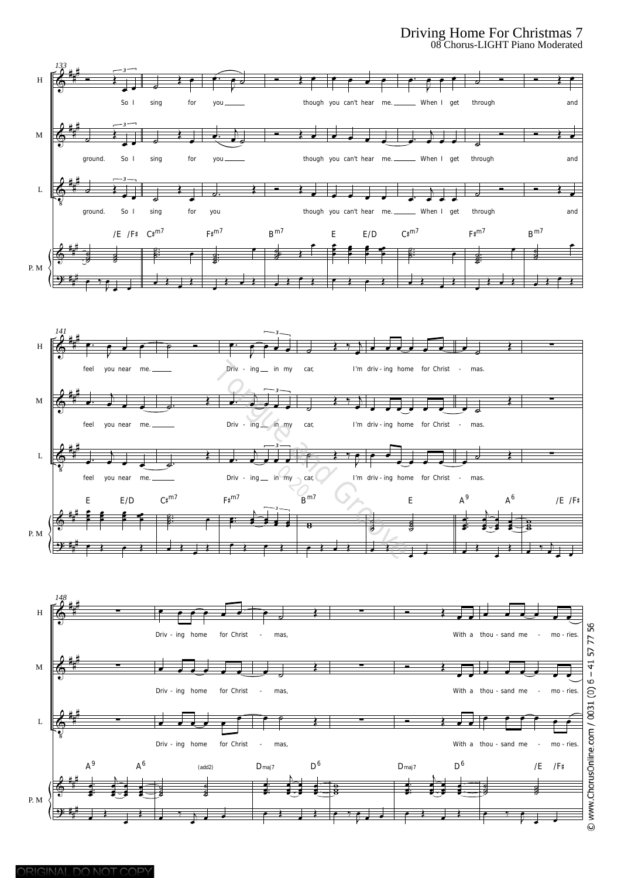#### Driving Home For Christmas 7 08 Chorus-LIGHT Piano Moderated

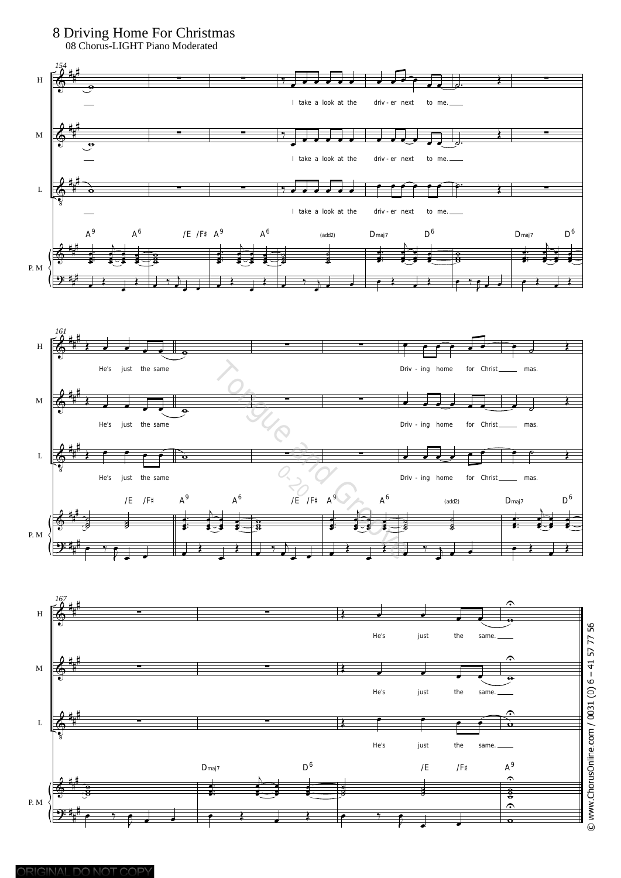

ORIGINAL DO NOT COPY